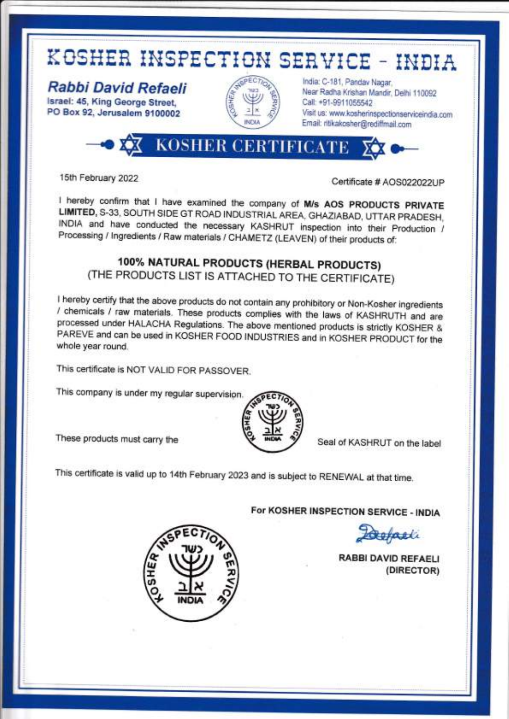

lsrael: 45, King George Street, PO Box 92, Jerusalem 9100002



India: C-181, Pandav Nagar, Near Radha Krishan Mandir, Delhi 110092 call: +91-9911055542 Visit us: www.kosherinspectionserviceindia.com Email: ritikakosher@rediffrnail.com

-OXX KOSHER CERTIFICATE XX C

15th February 2022 **Certificate # AOS022022UP** 

I hereby confirm that I have examined the company of M/s AOS PRODUCTS PRIVATE<br>LIMITED, S-33, SOUTH SIDE GT ROAD INDUSTRIAL AREA, GHAZIABAD, UTTAR PRADESH,<br>INDIA and have conducted the necessary KASHRUT inspection into thei Processing / lngredients / Raw materials / CHAMETZ (LEAVEN) of their products of:

### 100% NATURAL PRODUCTS (HERBAL PRODUCTS) (THE PRODUCTS LIST IS ATTACHED TO THE CERTIFICATE)

I hereby certify that the above products do not contain any prohibitory or Non-Kosher ingredients / chemicals / raw materials. These products complies with the laws of KASHRUTH and are processed under HALACHA Regulations. PAREVE and can be used in KOSHER FOOD INDUSTRIES and in KOSHER PRODUCT for the whole year round.

This certificate is NOT VALID FOR PASSOVER.

This company is under my regular supervision.

These products must carry the  $\forall$  wow  $\gamma$  Seal of KASHRUT on the label



This certificate is valid up to 14th February 2023 and is subject to RENEWAL at that time.

For KOSHER INSPECTION SERVICE - INDIA

Defacti

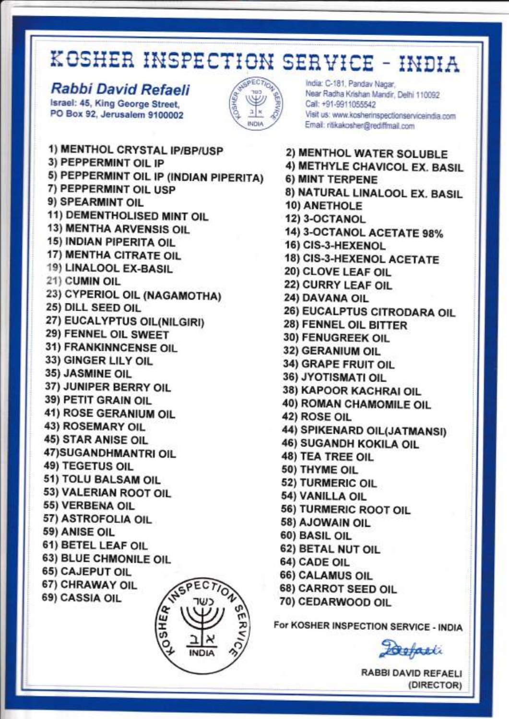#### Rabbi David Refaeli Israel: 45, King George Street. PO Box 92, Jerusalem 9100002



India: C-181, Panday Nagar. Near Radha Krishan Mandir, Delhi 110092 Call: +91-9911055542 Visit us: www.kosherinspectionserviceindia.com Email: ritikakosher@rediffmail.com

1) MENTHOL CRYSTAL IP/BP/USP 3) PEPPERMINT OIL IP 5) PEPPERMINT OIL IP (INDIAN PIPERITA) 7) PEPPERMINT OIL USP 9) SPEARMINT OIL 11) DEMENTHOLISED MINT OIL **13) MENTHA ARVENSIS OIL** 15) INDIAN PIPERITA OIL 17) MENTHA CITRATE OIL 19) LINALOOL EX-BASIL 21) CUMIN OIL 23) CYPERIOL OIL (NAGAMOTHA) 25) DILL SEED OIL 27) EUCALYPTUS OIL(NILGIRI) 29) FENNEL OIL SWEET 31) FRANKINNCENSE OIL 33) GINGER LILY OIL 35) JASMINE OIL 37) JUNIPER BERRY OIL 39) PETIT GRAIN OIL 41) ROSE GERANIUM OIL **43) ROSEMARY OIL 45) STAR ANISE OIL** 47) SUGANDHMANTRI OIL **49) TEGETUS OIL** 51) TOLU BALSAM OIL 53) VALERIAN ROOT OIL 55) VERBENA OIL 57) ASTROFOLIA OIL 59) ANISE OIL 61) BETEL LEAF OIL 63) BLUE CHMONILE OIL **65) CAJEPUT OIL SPECTION** 67) CHRAWAY OIL 69) CASSIA OIL

2) MENTHOL WATER SOLUBLE 4) METHYLE CHAVICOL EX. BASIL 6) MINT TERPENE 8) NATURAL LINALOOL EX. BASIL **10) ANETHOLE** 12) 3-OCTANOL 14) 3-OCTANOL ACETATE 98% 16) CIS-3-HEXENOL **18) CIS-3-HEXENOL ACETATE** 20) CLOVE LEAF OIL 22) CURRY LEAF OIL 24) DAVANA OIL 26) EUCALPTUS CITRODARA OIL 28) FENNEL OIL BITTER 30) FENUGREEK OIL 32) GERANIUM OIL 34) GRAPE FRUIT OIL 36) JYOTISMATI OIL 38) KAPOOR KACHRAI OIL **40) ROMAN CHAMOMILE OIL 42) ROSE OIL** 44) SPIKENARD OIL(JATMANSI) **46) SUGANDH KOKILA OIL 48) TEA TREE OIL** 50) THYME OIL 52) TURMERIC OIL 54) VANILLA OIL 56) TURMERIC ROOT OIL 58) AJOWAIN OIL 60) BASIL OIL 62) BETAL NUT OIL **64) CADE OIL** 66) CALAMUS OIL 68) CARROT SEED OIL 70) CEDARWOOD OIL

For KOSHER INSPECTION SERVICE - INDIA

Defacti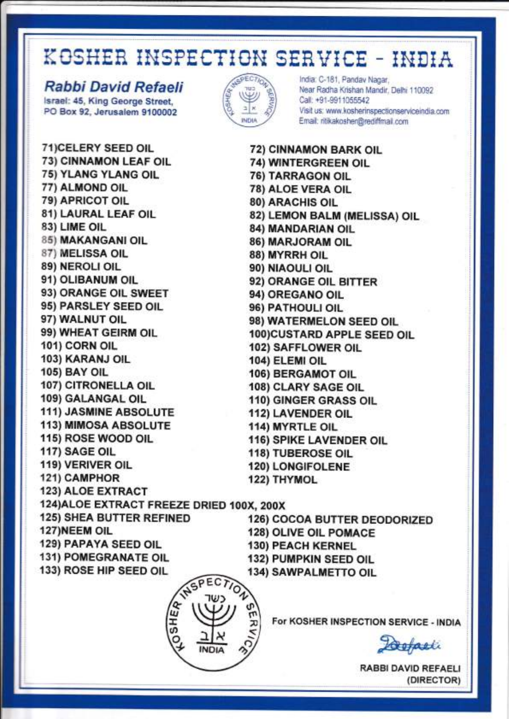### Rabbi David Refaeli

Israel: 45, King George Street. PO Box 92, Jerusalem 9100002



India: C-181, Pandav Nagar, Near Radha Krishan Mandir, Delhi 110092 Call: +91-9911055542 Visit us: www.kosherinspectionserviceindia.com Email: ritikakosher@rediffmail.com

71) CELERY SEED OIL 72) CINNAMON BARK OIL **73) CINNAMON LEAF OIL 75) YLANG YLANG OIL** 77) ALMOND OIL 79) APRICOT OIL 81) LAURAL LEAF OIL 83) LIME OIL 85) MAKANGANI OIL 87) MELISSA OIL 89) NEROLI OIL 91) OLIBANUM OIL 93) ORANGE OIL SWEET 95) PARSLEY SEED OIL 97) WALNUT OIL 99) WHEAT GEIRM OIL 101) CORN OIL 103) KARANJ OIL **105) BAY OIL** 107) CITRONELLA OIL 109) GALANGAL OIL 111) JASMINE ABSOLUTE **113) MIMOSA ABSOLUTE** 115) ROSE WOOD OIL 117) SAGE OIL 119) VERIVER OIL 121) CAMPHOR **123) ALOE EXTRACT** 124) ALOE EXTRACT FREEZE DRIED 100X, 200X **125) SHEA BUTTER REFINED** 127) NEEM OIL **129) PAPAYA SEED OIL 131) POMEGRANATE OIL** 133) ROSE HIP SEED OIL NSPECTION

74) WINTERGREEN OIL **76) TARRAGON OIL** 78) ALOE VERA OIL **80) ARACHIS OIL** 82) LEMON BALM (MELISSA) OIL 84) MANDARIAN OIL 86) MARJORAM OIL 88) MYRRH OIL 90) NIAOULI OIL 92) ORANGE OIL BITTER 94) OREGANO OIL 96) PATHOULI OIL 98) WATERMELON SEED OIL 100)CUSTARD APPLE SEED OIL 102) SAFFLOWER OIL 104) ELEMI OIL **106) BERGAMOT OIL** 108) CLARY SAGE OIL 110) GINGER GRASS OIL **112) LAVENDER OIL 114) MYRTLE OIL** 116) SPIKE LAVENDER OIL 118) TUBEROSE OIL **120) LONGIFOLENE** 122) THYMOL

**126) COCOA BUTTER DEODORIZED** 128) OLIVE OIL POMACE **130) PEACH KERNEL** 132) PUMPKIN SEED OIL

**134) SAWPALMETTO OIL** 



For KOSHER INSPECTION SERVICE - INDIA

Loopasti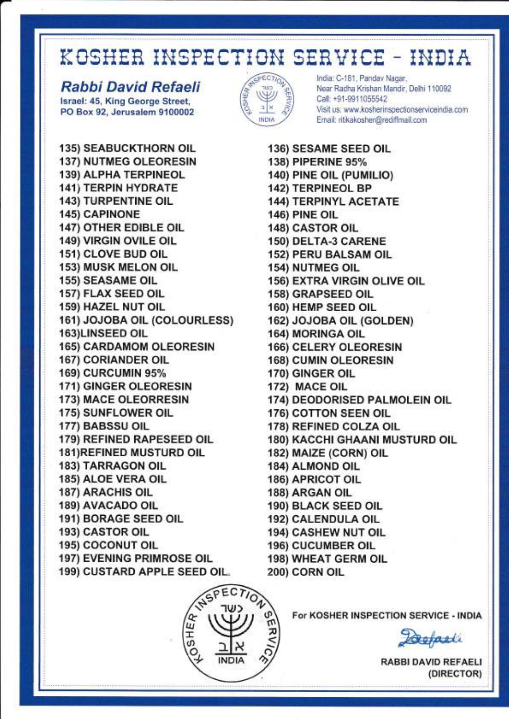#### **Rabbi David Refaeli**

Israel: 45, King George Street, PO Box 92, Jerusalem 9100002



India: C-181, Panday Nagar, Near Radha Krishan Mandir, Delhi 110092 Call: +91-9911055542 Visit us: www.kosherinspectionserviceindia.com Email: ritikakosher@rediffmail.com

**135) SEABUCKTHORN OIL 137) NUTMEG OLEORESIN 139) ALPHA TERPINEOL 141) TERPIN HYDRATE 143) TURPENTINE OIL 145) CAPINONE 147) OTHER EDIBLE OIL** 149) VIRGIN OVILE OIL 151) CLOVE BUD OIL **153) MUSK MELON OIL 155) SEASAME OIL** 157) FLAX SEED OIL 159) HAZEL NUT OIL 161) JOJOBA OIL (COLOURLESS) 163)LINSEED OIL **165) CARDAMOM OLEORESIN 167) CORIANDER OIL 169) CURCUMIN 95%** 171) GINGER OLEORESIN **173) MACE OLEORRESIN** 175) SUNFLOWER OIL 177) BABSSU OIL 179) REFINED RAPESEED OIL **181)REFINED MUSTURD OIL 183) TARRAGON OIL** 185) ALOE VERA OIL **187) ARACHIS OIL 189) AVACADO OIL** 191) BORAGE SEED OIL 193) CASTOR OIL **195) COCONUT OIL 197) EVENING PRIMROSE OIL** 199) CUSTARD APPLE SEED OIL.

136) SESAME SEED OIL 138) PIPERINE 95% 140) PINE OIL (PUMILIO) **142) TERPINEOL BP 144) TERPINYL ACETATE 146) PINE OIL 148) CASTOR OIL** 150) DELTA-3 CARENE **152) PERU BALSAM OIL 154) NUTMEG OIL** 156) EXTRA VIRGIN OLIVE OIL **158) GRAPSEED OIL** 160) HEMP SEED OIL 162) JOJOBA OIL (GOLDEN) 164) MORINGA OIL **166) CELERY OLEORESIN 168) CUMIN OLEORESIN** 170) GINGER OIL 172) MACE OIL 174) DEODORISED PALMOLEIN OIL 176) COTTON SEEN OIL 178) REFINED COLZA OIL **180) KACCHI GHAANI MUSTURD OIL** 182) MAIZE (CORN) OIL 184) ALMOND OIL **186) APRICOT OIL** 188) ARGAN OIL 190) BLACK SEED OIL 192) CALENDULA OIL **194) CASHEW NUT OIL** 196) CUCUMBER OIL **198) WHEAT GERM OIL** 200) CORN OIL



For KOSHER INSPECTION SERVICE - INDIA

Defasti